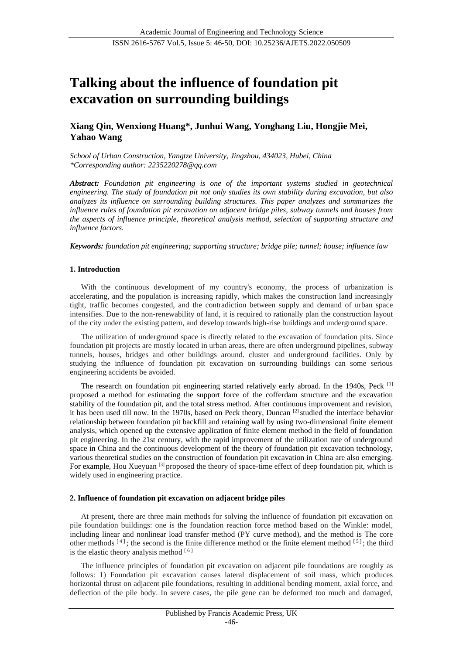# **Talking about the influence of foundation pit excavation on surrounding buildings**

## **Xiang Qin, Wenxiong Huang\*, Junhui Wang, Yonghang Liu, Hongjie Mei, Yahao Wang**

*School of Urban Construction, Yangtze University, Jingzhou, 434023, Hubei, China \*Corresponding author: 2235220278@qq.com* 

*Abstract: Foundation pit engineering is one of the important systems studied in geotechnical engineering. The study of foundation pit not only studies its own stability during excavation, but also analyzes its influence on surrounding building structures. This paper analyzes and summarizes the influence rules of foundation pit excavation on adjacent bridge piles, subway tunnels and houses from the aspects of influence principle, theoretical analysis method, selection of supporting structure and influence factors.*

*Keywords: foundation pit engineering; supporting structure; bridge pile; tunnel; house; influence law*

## **1. Introduction**

With the continuous development of my country's economy, the process of urbanization is accelerating, and the population is increasing rapidly, which makes the construction land increasingly tight, traffic becomes congested, and the contradiction between supply and demand of urban space intensifies. Due to the non-renewability of land, it is required to rationally plan the construction layout of the city under the existing pattern, and develop towards high-rise buildings and underground space.

The utilization of underground space is directly related to the excavation of foundation pits. Since foundation pit projects are mostly located in urban areas, there are often underground pipelines, subway tunnels, houses, bridges and other buildings around. cluster and underground facilities. Only by studying the influence of foundation pit excavation on surrounding buildings can some serious engineering accidents be avoided.

The research on foundation pit engineering started relatively early abroad. In the 1940s, Peck [1] proposed a method for estimating the support force of the cofferdam structure and the excavation stability of the foundation pit, and the total stress method. After continuous improvement and revision, it has been used till now. In the 1970s, based on Peck theory, Duncan [2] studied the interface behavior relationship between foundation pit backfill and retaining wall by using two-dimensional finite element analysis, which opened up the extensive application of finite element method in the field of foundation pit engineering. In the 21st century, with the rapid improvement of the utilization rate of underground space in China and the continuous development of the theory of foundation pit excavation technology, various theoretical studies on the construction of foundation pit excavation in China are also emerging. For example, Hou Xueyuan [3] proposed the theory of space-time effect of deep foundation pit, which is widely used in engineering practice.

#### **2. Influence of foundation pit excavation on adjacent bridge piles**

At present, there are three main methods for solving the influence of foundation pit excavation on pile foundation buildings: one is the foundation reaction force method based on the Winkle: model, including linear and nonlinear load transfer method (PY curve method), and the method is The core other methods  $[4]$ ; the second is the finite difference method or the finite element method  $[5]$ ; the third is the elastic theory analysis method  $[6]$ 

The influence principles of foundation pit excavation on adjacent pile foundations are roughly as follows: 1) Foundation pit excavation causes lateral displacement of soil mass, which produces horizontal thrust on adjacent pile foundations, resulting in additional bending moment, axial force, and deflection of the pile body. In severe cases, the pile gene can be deformed too much and damaged,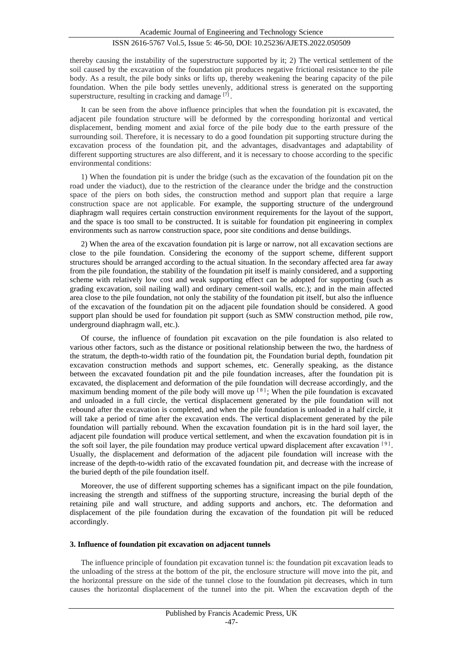## ISSN 2616-5767 Vol.5, Issue 5: 46-50, DOI: 10.25236/AJETS.2022.050509

thereby causing the instability of the superstructure supported by it; 2) The vertical settlement of the soil caused by the excavation of the foundation pit produces negative frictional resistance to the pile body. As a result, the pile body sinks or lifts up, thereby weakening the bearing capacity of the pile foundation. When the pile body settles unevenly, additional stress is generated on the supporting superstructure, resulting in cracking and damage [7].

It can be seen from the above influence principles that when the foundation pit is excavated, the adjacent pile foundation structure will be deformed by the corresponding horizontal and vertical displacement, bending moment and axial force of the pile body due to the earth pressure of the surrounding soil. Therefore, it is necessary to do a good foundation pit supporting structure during the excavation process of the foundation pit, and the advantages, disadvantages and adaptability of different supporting structures are also different, and it is necessary to choose according to the specific environmental conditions:

1) When the foundation pit is under the bridge (such as the excavation of the foundation pit on the road under the viaduct), due to the restriction of the clearance under the bridge and the construction space of the piers on both sides, the construction method and support plan that require a large construction space are not applicable. For example, the supporting structure of the underground diaphragm wall requires certain construction environment requirements for the layout of the support, and the space is too small to be constructed. It is suitable for foundation pit engineering in complex environments such as narrow construction space, poor site conditions and dense buildings.

2) When the area of the excavation foundation pit is large or narrow, not all excavation sections are close to the pile foundation. Considering the economy of the support scheme, different support structures should be arranged according to the actual situation. In the secondary affected area far away from the pile foundation, the stability of the foundation pit itself is mainly considered, and a supporting scheme with relatively low cost and weak supporting effect can be adopted for supporting (such as grading excavation, soil nailing wall) and ordinary cement-soil walls, etc.); and in the main affected area close to the pile foundation, not only the stability of the foundation pit itself, but also the influence of the excavation of the foundation pit on the adjacent pile foundation should be considered. A good support plan should be used for foundation pit support (such as SMW construction method, pile row, underground diaphragm wall, etc.).

Of course, the influence of foundation pit excavation on the pile foundation is also related to various other factors, such as the distance or positional relationship between the two, the hardness of the stratum, the depth-to-width ratio of the foundation pit, the Foundation burial depth, foundation pit excavation construction methods and support schemes, etc. Generally speaking, as the distance between the excavated foundation pit and the pile foundation increases, after the foundation pit is excavated, the displacement and deformation of the pile foundation will decrease accordingly, and the maximum bending moment of the pile body will move up  $[8]$ ; When the pile foundation is excavated and unloaded in a full circle, the vertical displacement generated by the pile foundation will not rebound after the excavation is completed, and when the pile foundation is unloaded in a half circle, it will take a period of time after the excavation ends. The vertical displacement generated by the pile foundation will partially rebound. When the excavation foundation pit is in the hard soil layer, the adjacent pile foundation will produce vertical settlement, and when the excavation foundation pit is in the soft soil layer, the pile foundation may produce vertical upward displacement after excavation  $[9]$ . Usually, the displacement and deformation of the adjacent pile foundation will increase with the increase of the depth-to-width ratio of the excavated foundation pit, and decrease with the increase of the buried depth of the pile foundation itself.

Moreover, the use of different supporting schemes has a significant impact on the pile foundation, increasing the strength and stiffness of the supporting structure, increasing the burial depth of the retaining pile and wall structure, and adding supports and anchors, etc. The deformation and displacement of the pile foundation during the excavation of the foundation pit will be reduced accordingly.

#### **3. Influence of foundation pit excavation on adjacent tunnels**

The influence principle of foundation pit excavation tunnel is: the foundation pit excavation leads to the unloading of the stress at the bottom of the pit, the enclosure structure will move into the pit, and the horizontal pressure on the side of the tunnel close to the foundation pit decreases, which in turn causes the horizontal displacement of the tunnel into the pit. When the excavation depth of the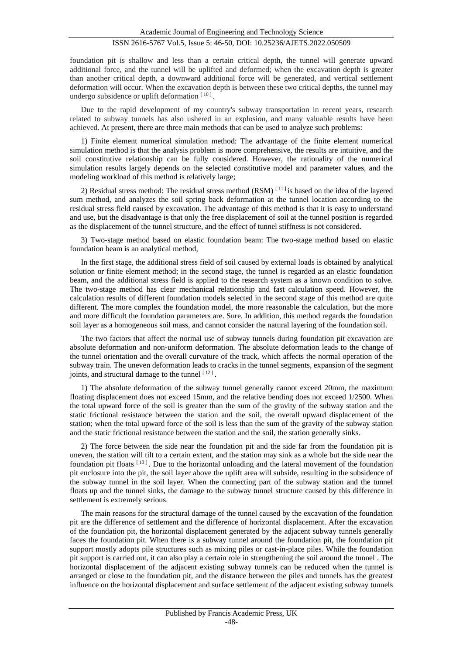## ISSN 2616-5767 Vol.5, Issue 5: 46-50, DOI: 10.25236/AJETS.2022.050509

foundation pit is shallow and less than a certain critical depth, the tunnel will generate upward additional force, and the tunnel will be uplifted and deformed; when the excavation depth is greater than another critical depth, a downward additional force will be generated, and vertical settlement deformation will occur. When the excavation depth is between these two critical depths, the tunnel may undergo subsidence or uplift deformation  $[10]$ .

Due to the rapid development of my country's subway transportation in recent years, research related to subway tunnels has also ushered in an explosion, and many valuable results have been achieved. At present, there are three main methods that can be used to analyze such problems:

1) Finite element numerical simulation method: The advantage of the finite element numerical simulation method is that the analysis problem is more comprehensive, the results are intuitive, and the soil constitutive relationship can be fully considered. However, the rationality of the numerical simulation results largely depends on the selected constitutive model and parameter values, and the modeling workload of this method is relatively large;

2) Residual stress method: The residual stress method (RSM) [11] is based on the idea of the layered sum method, and analyzes the soil spring back deformation at the tunnel location according to the residual stress field caused by excavation. The advantage of this method is that it is easy to understand and use, but the disadvantage is that only the free displacement of soil at the tunnel position is regarded as the displacement of the tunnel structure, and the effect of tunnel stiffness is not considered.

3) Two-stage method based on elastic foundation beam: The two-stage method based on elastic foundation beam is an analytical method,

In the first stage, the additional stress field of soil caused by external loads is obtained by analytical solution or finite element method; in the second stage, the tunnel is regarded as an elastic foundation beam, and the additional stress field is applied to the research system as a known condition to solve. The two-stage method has clear mechanical relationship and fast calculation speed. However, the calculation results of different foundation models selected in the second stage of this method are quite different. The more complex the foundation model, the more reasonable the calculation, but the more and more difficult the foundation parameters are. Sure. In addition, this method regards the foundation soil layer as a homogeneous soil mass, and cannot consider the natural layering of the foundation soil.

The two factors that affect the normal use of subway tunnels during foundation pit excavation are absolute deformation and non-uniform deformation. The absolute deformation leads to the change of the tunnel orientation and the overall curvature of the track, which affects the normal operation of the subway train. The uneven deformation leads to cracks in the tunnel segments, expansion of the segment joints, and structural damage to the tunnel  $[12]$ .

1) The absolute deformation of the subway tunnel generally cannot exceed 20mm, the maximum floating displacement does not exceed 15mm, and the relative bending does not exceed 1/2500. When the total upward force of the soil is greater than the sum of the gravity of the subway station and the static frictional resistance between the station and the soil, the overall upward displacement of the station; when the total upward force of the soil is less than the sum of the gravity of the subway station and the static frictional resistance between the station and the soil, the station generally sinks.

2) The force between the side near the foundation pit and the side far from the foundation pit is uneven, the station will tilt to a certain extent, and the station may sink as a whole but the side near the foundation pit floats  $[13]$ . Due to the horizontal unloading and the lateral movement of the foundation pit enclosure into the pit, the soil layer above the uplift area will subside, resulting in the subsidence of the subway tunnel in the soil layer. When the connecting part of the subway station and the tunnel floats up and the tunnel sinks, the damage to the subway tunnel structure caused by this difference in settlement is extremely serious.

The main reasons for the structural damage of the tunnel caused by the excavation of the foundation pit are the difference of settlement and the difference of horizontal displacement. After the excavation of the foundation pit, the horizontal displacement generated by the adjacent subway tunnels generally faces the foundation pit. When there is a subway tunnel around the foundation pit, the foundation pit support mostly adopts pile structures such as mixing piles or cast-in-place piles. While the foundation pit support is carried out, it can also play a certain role in strengthening the soil around the tunnel . The horizontal displacement of the adjacent existing subway tunnels can be reduced when the tunnel is arranged or close to the foundation pit, and the distance between the piles and tunnels has the greatest influence on the horizontal displacement and surface settlement of the adjacent existing subway tunnels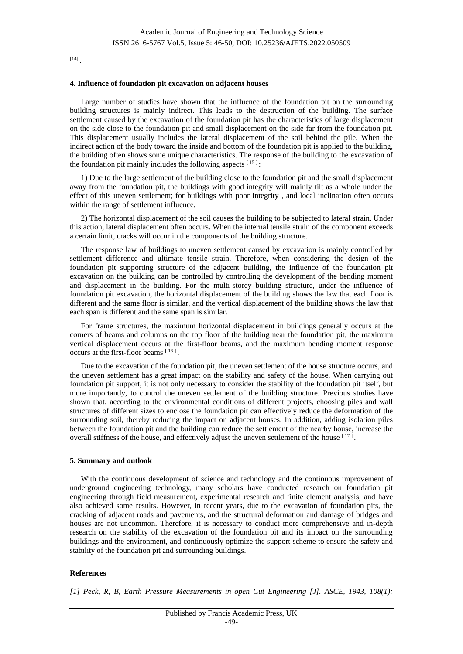## ISSN 2616-5767 Vol.5, Issue 5: 46-50, DOI: 10.25236/AJETS.2022.050509

[14] .

#### **4. Influence of foundation pit excavation on adjacent houses**

Large number of studies have shown that the influence of the foundation pit on the surrounding building structures is mainly indirect. This leads to the destruction of the building. The surface settlement caused by the excavation of the foundation pit has the characteristics of large displacement on the side close to the foundation pit and small displacement on the side far from the foundation pit. This displacement usually includes the lateral displacement of the soil behind the pile. When the indirect action of the body toward the inside and bottom of the foundation pit is applied to the building, the building often shows some unique characteristics. The response of the building to the excavation of the foundation pit mainly includes the following aspects  $[15]$ :

1) Due to the large settlement of the building close to the foundation pit and the small displacement away from the foundation pit, the buildings with good integrity will mainly tilt as a whole under the effect of this uneven settlement; for buildings with poor integrity , and local inclination often occurs within the range of settlement influence.

2) The horizontal displacement of the soil causes the building to be subjected to lateral strain. Under this action, lateral displacement often occurs. When the internal tensile strain of the component exceeds a certain limit, cracks will occur in the components of the building structure.

The response law of buildings to uneven settlement caused by excavation is mainly controlled by settlement difference and ultimate tensile strain. Therefore, when considering the design of the foundation pit supporting structure of the adjacent building, the influence of the foundation pit excavation on the building can be controlled by controlling the development of the bending moment and displacement in the building. For the multi-storey building structure, under the influence of foundation pit excavation, the horizontal displacement of the building shows the law that each floor is different and the same floor is similar, and the vertical displacement of the building shows the law that each span is different and the same span is similar.

For frame structures, the maximum horizontal displacement in buildings generally occurs at the corners of beams and columns on the top floor of the building near the foundation pit, the maximum vertical displacement occurs at the first-floor beams, and the maximum bending moment response occurs at the first-floor beams  $[16]$ .

Due to the excavation of the foundation pit, the uneven settlement of the house structure occurs, and the uneven settlement has a great impact on the stability and safety of the house. When carrying out foundation pit support, it is not only necessary to consider the stability of the foundation pit itself, but more importantly, to control the uneven settlement of the building structure. Previous studies have shown that, according to the environmental conditions of different projects, choosing piles and wall structures of different sizes to enclose the foundation pit can effectively reduce the deformation of the surrounding soil, thereby reducing the impact on adjacent houses. In addition, adding isolation piles between the foundation pit and the building can reduce the settlement of the nearby house, increase the overall stiffness of the house, and effectively adjust the uneven settlement of the house  $[17]$ .

#### **5. Summary and outlook**

With the continuous development of science and technology and the continuous improvement of underground engineering technology, many scholars have conducted research on foundation pit engineering through field measurement, experimental research and finite element analysis, and have also achieved some results. However, in recent years, due to the excavation of foundation pits, the cracking of adjacent roads and pavements, and the structural deformation and damage of bridges and houses are not uncommon. Therefore, it is necessary to conduct more comprehensive and in-depth research on the stability of the excavation of the foundation pit and its impact on the surrounding buildings and the environment, and continuously optimize the support scheme to ensure the safety and stability of the foundation pit and surrounding buildings.

#### **References**

*[1] Peck, R, B, Earth Pressure Measurements in open Cut Engineering [J]. ASCE, 1943, 108(1):*